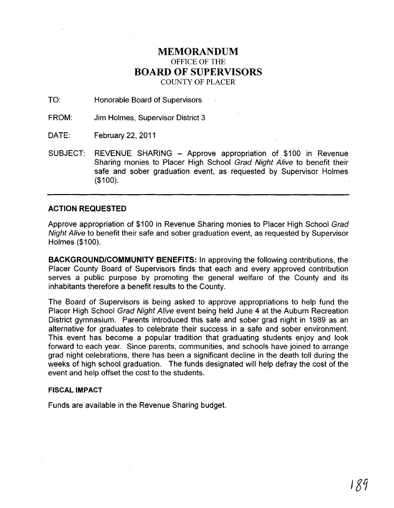## **MEMORANDUM**  OFFICE OF THE **BOARD OF SUPERVISORS**  COUNTY OF PLACER

TO: Honorable Board of Supervisors

FROM: Jim Holmes, Supervisor District 3

DATE: February 22, 2011

SUBJECT: REVENUE SHARING - Approve appropriation of \$100 in Revenue Sharing monies to Placer High School Grad Night Alive to benefit their safe and sober graduation event, as requested by Supervisor Holmes (\$100).

## **ACTION REQUESTED**

Approve appropriation of \$100 in Revenue Sharing monies to Placer High School Grad Night Alive to benefit their safe and sober graduation event, as requested by Supervisor Holmes (\$100).

**BACKGROUND/COMMUNITY BENEFITS:** In approving the following contributions, the Placer County Board of Supervisors finds that each and every approved contribution serves a public purpose by promoting the general welfare of the County and its inhabitants therefore a benefit results to the County.

The Board of Supervisors is being asked to approve appropriations to help fund the Placer High School Grad Night Alive event being held June 4 at the Auburn Recreation District gymnasium. Parents introduced this safe and sober grad night in 1989 as an alternative for graduates to celebrate their success in a safe and sober environment. This event has become a popular tradition that graduating students enjoy and look forward to each year. Since parents, communities, and schools have joined to arrange grad night celebrations, there has been a significant decline in the death toll during the weeks of high school graduation. The funds designated will help defray the cost of the event and help offset the cost to the students.

## **FISCAL IMPACT**

Funds are available in the Revenue Sharing budget.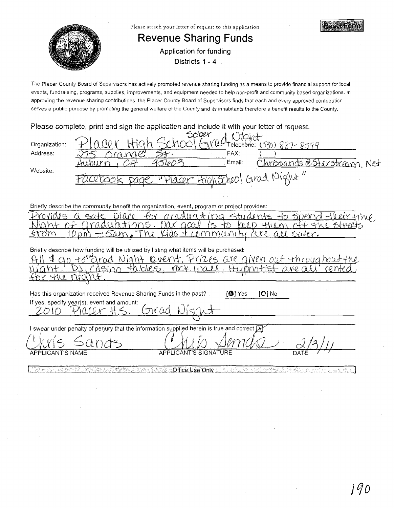

The Placer County Board of Supervisors has actively promoted revenue sharing funding as a means to provide financial support for local events, fundraising, programs, supplies, improvements, and equipment needed to help non-profit and community based organizations. In approving the revenue sharing contributions, the Placer County Board of Supervisors finds that each and every approved contribution serves a public purpose by promoting the general welfare of the County and its inhabitants therefore a benefit results to the County.

Please complete, print and sign the application and include it with your letter of request.

| Organization: | Sooer<br>$V^{\prime}$          |        | 1 1 (a Vielephone: (530) 887-8599 |  |  |  |
|---------------|--------------------------------|--------|-----------------------------------|--|--|--|
| Address:      | $\varphi$                      | FAX:   |                                   |  |  |  |
|               |                                | Email: | Chrissands @Starstram, Net        |  |  |  |
| Website:      | in The chool Grad Night<br>51. |        |                                   |  |  |  |

Briefly describe the community benefit the organization, event, program or project provides:

|  | Provides a safe place for graduating students to spend their time, |
|--|--------------------------------------------------------------------|
|  | Night of graduations. Our acal is to keep them off the streets     |
|  | from 10pm - 5am. The kids + community are all safer.               |

Briefly describe how funding will be utilized by listing what items will be purchased:

| Sino                                                                                      | Night cevent. Prizes are given out throughout the<br>tables, nock wall, Humotist are all |                             | rented |
|-------------------------------------------------------------------------------------------|------------------------------------------------------------------------------------------|-----------------------------|--------|
| 412                                                                                       |                                                                                          |                             |        |
| Has this organization received Revenue Sharing Funds in the past?                         |                                                                                          | $[O]$ No<br>[ <b>@</b> }Yes |        |
| If yes, specify year(s), event and amount:<br>MultA                                       |                                                                                          |                             |        |
|                                                                                           |                                                                                          |                             |        |
| swear under penalty of perjury that the information supplied herein is true and correct R |                                                                                          |                             |        |
|                                                                                           |                                                                                          |                             |        |
| APPLICANT'S NAME                                                                          | APPLICANT'S SIGNATURE                                                                    |                             | DATE   |

APPLICANT'S SIGNATURE

**ANGE Office Use Only Service** Likert britst